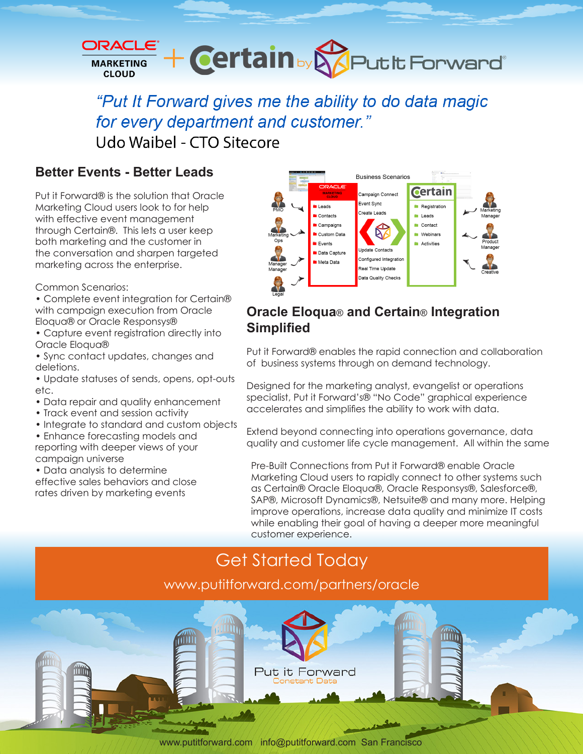

"Put It Forward gives me the ability to do data magic for every department and customer." Udo Waibel - CTO Sitecore

## **Better Events - Better Leads**

Put it Forward® is the solution that Oracle Marketing Cloud users look to for help with effective event management through Certain®. This lets a user keep both marketing and the customer in the conversation and sharpen targeted marketing across the enterprise.

Common Scenarios:

- Complete event integration for Certain® with campaign execution from Oracle Eloqua® or Oracle Responsys®
- Capture event registration directly into Oracle Eloqua®
- Sync contact updates, changes and deletions.
- Update statuses of sends, opens, opt-outs etc.
- Data repair and quality enhancement
- Track event and session activity
- Integrate to standard and custom objects
- Enhance forecasting models and reporting with deeper views of your campaign universe
- Data analysis to determine
- effective sales behaviors and close rates driven by marketing events



### **Oracle Eloqua**® **and Certain**® **Integration Simplified**

Put it Forward® enables the rapid connection and collaboration of business systems through on demand technology.

Designed for the marketing analyst, evangelist or operations specialist, Put it Forward's® "No Code" graphical experience accelerates and simplifies the ability to work with data.

Extend beyond connecting into operations governance, data quality and customer life cycle management. All within the same

Pre-Built Connections from Put it Forward® enable Oracle Marketing Cloud users to rapidly connect to other systems such as Certain® Oracle Eloqua®, Oracle Responsys®, Salesforce®, SAP®, Microsoft Dynamics®, Netsuite® and many more. Helping improve operations, increase data quality and minimize IT costs while enabling their goal of having a deeper more meaningful customer experience.

# Get Started Today www.putitforward.com/partners/oracle



www.putitforward.com / info@putitforward.com San Francisco